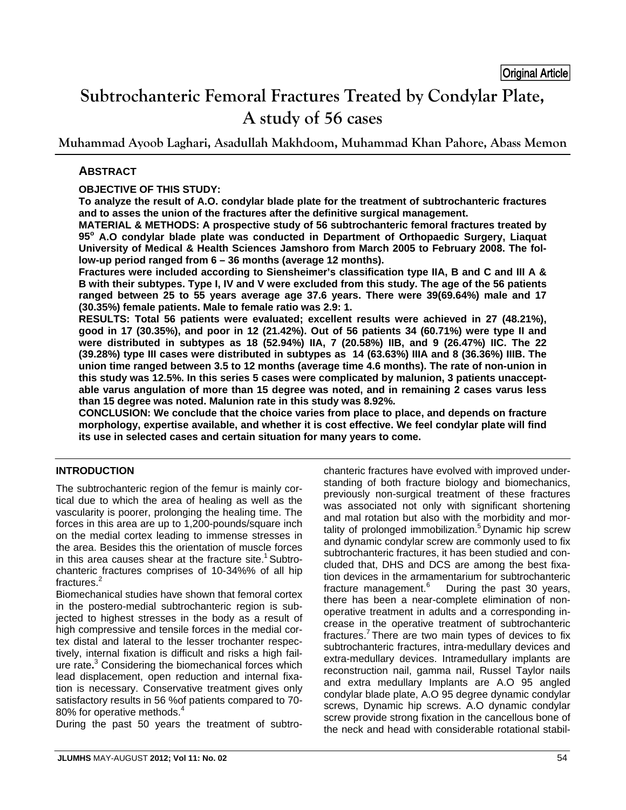# **Subtrochanteric Femoral Fractures Treated by Condylar Plate, A study of 56 cases**

**Muhammad Ayoob Laghari, Asadullah Makhdoom, Muhammad Khan Pahore, Abass Memon**

# **ABSTRACT**

# **OBJECTIVE OF THIS STUDY:**

**To analyze the result of A.O. condylar blade plate for the treatment of subtrochanteric fractures and to asses the union of the fractures after the definitive surgical management.** 

**MATERIAL & METHODS: A prospective study of 56 subtrochanteric femoral fractures treated by 95<sup>o</sup> A.O condylar blade plate was conducted in Department of Orthopaedic Surgery, Liaquat University of Medical & Health Sciences Jamshoro from March 2005 to February 2008. The follow-up period ranged from 6 – 36 months (average 12 months).** 

**Fractures were included according to Siensheimer's classification type IIA, B and C and III A & B with their subtypes. Type I, IV and V were excluded from this study. The age of the 56 patients ranged between 25 to 55 years average age 37.6 years. There were 39(69.64%) male and 17 (30.35%) female patients. Male to female ratio was 2.9: 1.** 

**RESULTS: Total 56 patients were evaluated; excellent results were achieved in 27 (48.21%), good in 17 (30.35%), and poor in 12 (21.42%). Out of 56 patients 34 (60.71%) were type II and were distributed in subtypes as 18 (52.94%) IIA, 7 (20.58%) IIB, and 9 (26.47%) IIC. The 22 (39.28%) type III cases were distributed in subtypes as 14 (63.63%) IIIA and 8 (36.36%) IIIB. The union time ranged between 3.5 to 12 months (average time 4.6 months). The rate of non-union in this study was 12.5%. In this series 5 cases were complicated by malunion, 3 patients unacceptable varus angulation of more than 15 degree was noted, and in remaining 2 cases varus less than 15 degree was noted. Malunion rate in this study was 8.92%.** 

**CONCLUSION: We conclude that the choice varies from place to place, and depends on fracture morphology, expertise available, and whether it is cost effective. We feel condylar plate will find its use in selected cases and certain situation for many years to come.**

# **INTRODUCTION**

The subtrochanteric region of the femur is mainly cortical due to which the area of healing as well as the vascularity is poorer, prolonging the healing time. The forces in this area are up to 1,200-pounds/square inch on the medial cortex leading to immense stresses in the area. Besides this the orientation of muscle forces in this area causes shear at the fracture site.<sup>1</sup> Subtrochanteric fractures comprises of 10-34%% of all hip fractures.<sup>2</sup>

Biomechanical studies have shown that femoral cortex in the postero-medial subtrochanteric region is subjected to highest stresses in the body as a result of high compressive and tensile forces in the medial cortex distal and lateral to the lesser trochanter respectively, internal fixation is difficult and risks a high failure rate**.** 3 Considering the biomechanical forces which lead displacement, open reduction and internal fixation is necessary. Conservative treatment gives only satisfactory results in 56 %of patients compared to 70- 80% for operative methods.<sup>4</sup>

During the past 50 years the treatment of subtro-

chanteric fractures have evolved with improved understanding of both fracture biology and biomechanics, previously non-surgical treatment of these fractures was associated not only with significant shortening and mal rotation but also with the morbidity and mortality of prolonged immobilization.<sup>5</sup> Dynamic hip screw and dynamic condylar screw are commonly used to fix subtrochanteric fractures, it has been studied and concluded that, DHS and DCS are among the best fixation devices in the armamentarium for subtrochanteric fracture management.<sup>6</sup> During the past 30 years, there has been a near-complete elimination of nonoperative treatment in adults and a corresponding increase in the operative treatment of subtrochanteric fractures.<sup>7</sup> There are two main types of devices to fix subtrochanteric fractures, intra-medullary devices and extra-medullary devices. Intramedullary implants are reconstruction nail, gamma nail, Russel Taylor nails and extra medullary Implants are A.O 95 angled condylar blade plate, A.O 95 degree dynamic condylar screws, Dynamic hip screws. A.O dynamic condylar screw provide strong fixation in the cancellous bone of the neck and head with considerable rotational stabil-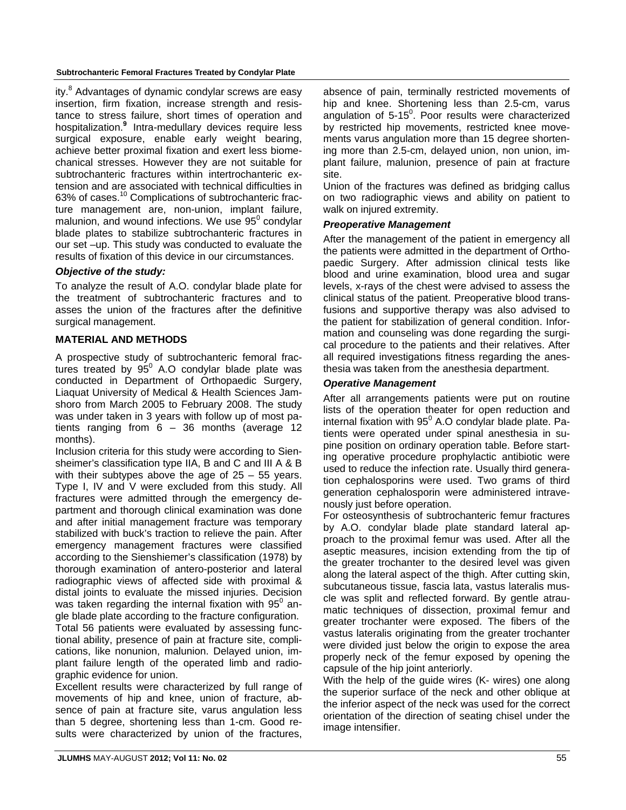ity.<sup>8</sup> Advantages of dynamic condylar screws are easy insertion, firm fixation, increase strength and resistance to stress failure, short times of operation and hospitalization.**<sup>9</sup>** Intra-medullary devices require less surgical exposure, enable early weight bearing, achieve better proximal fixation and exert less biomechanical stresses. However they are not suitable for subtrochanteric fractures within intertrochanteric extension and are associated with technical difficulties in 63% of cases.10 Complications of subtrochanteric fracture management are, non-union, implant failure, malunion, and wound infections. We use  $95^{\circ}$  condylar blade plates to stabilize subtrochanteric fractures in our set –up. This study was conducted to evaluate the results of fixation of this device in our circumstances.

# *Objective of the study:*

To analyze the result of A.O. condylar blade plate for the treatment of subtrochanteric fractures and to asses the union of the fractures after the definitive surgical management.

## **MATERIAL AND METHODS**

A prospective study of subtrochanteric femoral fractures treated by  $95^{\circ}$  A.O condylar blade plate was conducted in Department of Orthopaedic Surgery, Liaquat University of Medical & Health Sciences Jamshoro from March 2005 to February 2008. The study was under taken in 3 years with follow up of most patients ranging from  $6 - 36$  months (average 12 months).

Inclusion criteria for this study were according to Siensheimer's classification type IIA, B and C and III A & B with their subtypes above the age of  $25 - 55$  years. Type I, IV and V were excluded from this study. All fractures were admitted through the emergency department and thorough clinical examination was done and after initial management fracture was temporary stabilized with buck's traction to relieve the pain. After emergency management fractures were classified according to the Sienshiemer's classification (1978) by thorough examination of antero-posterior and lateral radiographic views of affected side with proximal & distal joints to evaluate the missed injuries. Decision was taken regarding the internal fixation with 95 $^{\rm o}$  angle blade plate according to the fracture configuration.

Total 56 patients were evaluated by assessing functional ability, presence of pain at fracture site, complications, like nonunion, malunion. Delayed union, implant failure length of the operated limb and radiographic evidence for union.

Excellent results were characterized by full range of movements of hip and knee, union of fracture, absence of pain at fracture site, varus angulation less than 5 degree, shortening less than 1-cm. Good results were characterized by union of the fractures, absence of pain, terminally restricted movements of hip and knee. Shortening less than 2.5-cm, varus angulation of  $5{\text -}15^0$ . Poor results were characterized by restricted hip movements, restricted knee movements varus angulation more than 15 degree shortening more than 2.5-cm, delayed union, non union, implant failure, malunion, presence of pain at fracture site.

Union of the fractures was defined as bridging callus on two radiographic views and ability on patient to walk on injured extremity.

#### *Preoperative Management*

After the management of the patient in emergency all the patients were admitted in the department of Orthopaedic Surgery. After admission clinical tests like blood and urine examination, blood urea and sugar levels, x-rays of the chest were advised to assess the clinical status of the patient. Preoperative blood transfusions and supportive therapy was also advised to the patient for stabilization of general condition. Information and counseling was done regarding the surgical procedure to the patients and their relatives. After all required investigations fitness regarding the anesthesia was taken from the anesthesia department.

#### *Operative Management*

After all arrangements patients were put on routine lists of the operation theater for open reduction and internal fixation with  $95^{\circ}$  A.O condylar blade plate. Patients were operated under spinal anesthesia in supine position on ordinary operation table. Before starting operative procedure prophylactic antibiotic were used to reduce the infection rate. Usually third generation cephalosporins were used. Two grams of third generation cephalosporin were administered intravenously just before operation.

For osteosynthesis of subtrochanteric femur fractures by A.O. condylar blade plate standard lateral approach to the proximal femur was used. After all the aseptic measures, incision extending from the tip of the greater trochanter to the desired level was given along the lateral aspect of the thigh. After cutting skin, subcutaneous tissue, fascia lata, vastus lateralis muscle was split and reflected forward. By gentle atraumatic techniques of dissection, proximal femur and greater trochanter were exposed. The fibers of the vastus lateralis originating from the greater trochanter were divided just below the origin to expose the area properly neck of the femur exposed by opening the capsule of the hip joint anteriorly.

With the help of the guide wires (K- wires) one along the superior surface of the neck and other oblique at the inferior aspect of the neck was used for the correct orientation of the direction of seating chisel under the image intensifier.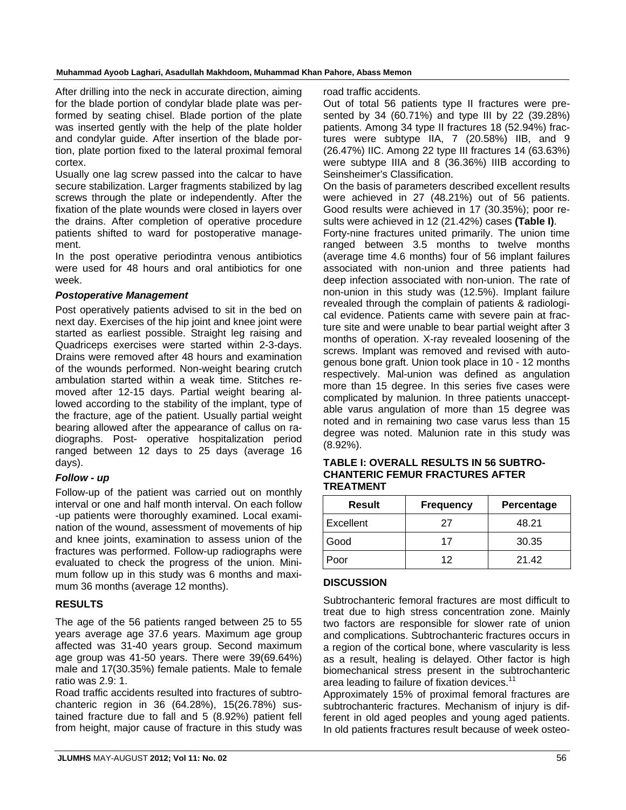After drilling into the neck in accurate direction, aiming for the blade portion of condylar blade plate was performed by seating chisel. Blade portion of the plate was inserted gently with the help of the plate holder and condylar guide. After insertion of the blade portion, plate portion fixed to the lateral proximal femoral cortex.

Usually one lag screw passed into the calcar to have secure stabilization. Larger fragments stabilized by lag screws through the plate or independently. After the fixation of the plate wounds were closed in layers over the drains. After completion of operative procedure patients shifted to ward for postoperative management.

In the post operative periodintra venous antibiotics were used for 48 hours and oral antibiotics for one week.

#### *Postoperative Management*

Post operatively patients advised to sit in the bed on next day. Exercises of the hip joint and knee joint were started as earliest possible. Straight leg raising and Quadriceps exercises were started within 2-3-days. Drains were removed after 48 hours and examination of the wounds performed. Non-weight bearing crutch ambulation started within a weak time. Stitches removed after 12-15 days. Partial weight bearing allowed according to the stability of the implant, type of the fracture, age of the patient. Usually partial weight bearing allowed after the appearance of callus on radiographs. Post- operative hospitalization period ranged between 12 days to 25 days (average 16 days).

#### *Follow - up*

Follow-up of the patient was carried out on monthly interval or one and half month interval. On each follow -up patients were thoroughly examined. Local examination of the wound, assessment of movements of hip and knee joints, examination to assess union of the fractures was performed. Follow-up radiographs were evaluated to check the progress of the union. Minimum follow up in this study was 6 months and maximum 36 months (average 12 months).

#### **RESULTS**

The age of the 56 patients ranged between 25 to 55 years average age 37.6 years. Maximum age group affected was 31-40 years group. Second maximum age group was 41-50 years. There were 39(69.64%) male and 17(30.35%) female patients. Male to female ratio was 2.9: 1.

Road traffic accidents resulted into fractures of subtrochanteric region in 36 (64.28%), 15(26.78%) sustained fracture due to fall and 5 (8.92%) patient fell from height, major cause of fracture in this study was road traffic accidents.

Out of total 56 patients type II fractures were presented by 34 (60.71%) and type III by 22 (39.28%) patients. Among 34 type II fractures 18 (52.94%) fractures were subtype IIA, 7 (20.58%) IIB, and 9 (26.47%) IIC. Among 22 type III fractures 14 (63.63%) were subtype IIIA and 8 (36.36%) IIIB according to Seinsheimer's Classification.

On the basis of parameters described excellent results were achieved in 27 (48.21%) out of 56 patients. Good results were achieved in 17 (30.35%); poor results were achieved in 12 (21.42%) cases **(Table I)**.

Forty-nine fractures united primarily. The union time ranged between 3.5 months to twelve months (average time 4.6 months) four of 56 implant failures associated with non-union and three patients had deep infection associated with non-union. The rate of non-union in this study was (12.5%). Implant failure revealed through the complain of patients & radiological evidence. Patients came with severe pain at fracture site and were unable to bear partial weight after 3 months of operation. X-ray revealed loosening of the screws. Implant was removed and revised with autogenous bone graft. Union took place in 10 - 12 months respectively. Mal-union was defined as angulation more than 15 degree. In this series five cases were complicated by malunion. In three patients unacceptable varus angulation of more than 15 degree was noted and in remaining two case varus less than 15 degree was noted. Malunion rate in this study was (8.92%).

#### **TABLE I: OVERALL RESULTS IN 56 SUBTRO-CHANTERIC FEMUR FRACTURES AFTER TREATMENT**

| <b>Result</b> | <b>Frequency</b> | Percentage |
|---------------|------------------|------------|
| Excellent     | 27               | 48.21      |
| Good          | 17               | 30.35      |
| Poor          | 12               | 21.42      |

#### **DISCUSSION**

Subtrochanteric femoral fractures are most difficult to treat due to high stress concentration zone. Mainly two factors are responsible for slower rate of union and complications. Subtrochanteric fractures occurs in a region of the cortical bone, where vascularity is less as a result, healing is delayed. Other factor is high biomechanical stress present in the subtrochanteric area leading to failure of fixation devices.<sup>11</sup>

Approximately 15% of proximal femoral fractures are subtrochanteric fractures. Mechanism of injury is different in old aged peoples and young aged patients. In old patients fractures result because of week osteo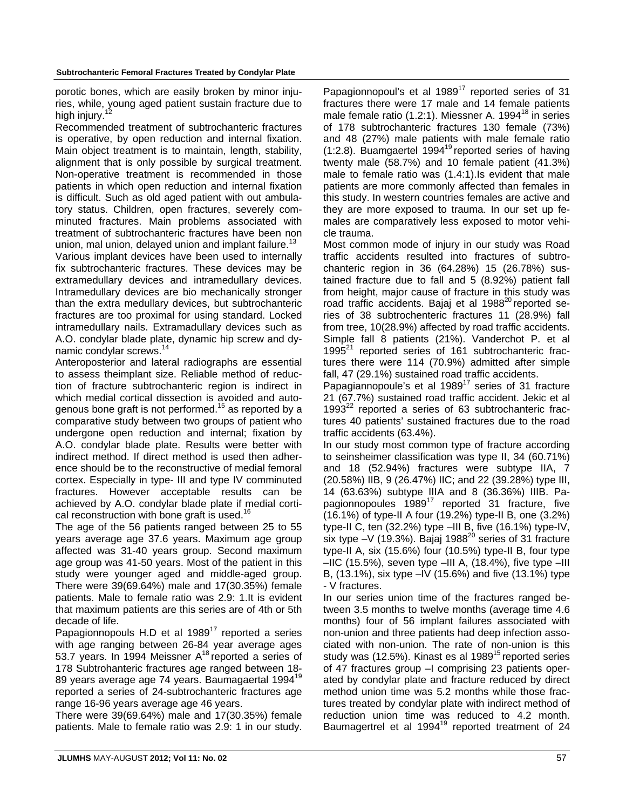porotic bones, which are easily broken by minor injuries, while, young aged patient sustain fracture due to high injury.<sup>1</sup>

Recommended treatment of subtrochanteric fractures is operative, by open reduction and internal fixation. Main object treatment is to maintain, length, stability, alignment that is only possible by surgical treatment. Non-operative treatment is recommended in those patients in which open reduction and internal fixation is difficult. Such as old aged patient with out ambulatory status. Children, open fractures, severely comminuted fractures. Main problems associated with treatment of subtrochanteric fractures have been non union, mal union, delayed union and implant failure.<sup>13</sup>

Various implant devices have been used to internally fix subtrochanteric fractures. These devices may be extramedullary devices and intramedullary devices. Intramedullary devices are bio mechanically stronger than the extra medullary devices, but subtrochanteric fractures are too proximal for using standard. Locked intramedullary nails. Extramadullary devices such as A.O. condylar blade plate, dynamic hip screw and dynamic condylar screws.<sup>14</sup>

Anteroposterior and lateral radiographs are essential to assess theimplant size. Reliable method of reduction of fracture subtrochanteric region is indirect in which medial cortical dissection is avoided and autogenous bone graft is not performed.<sup>15</sup> as reported by a comparative study between two groups of patient who undergone open reduction and internal; fixation by A.O. condylar blade plate. Results were better with indirect method. If direct method is used then adherence should be to the reconstructive of medial femoral cortex. Especially in type- III and type IV comminuted fractures. However acceptable results can be achieved by A.O. condylar blade plate if medial cortical reconstruction with bone graft is used.<sup>16</sup>

The age of the 56 patients ranged between 25 to 55 years average age 37.6 years. Maximum age group affected was 31-40 years group. Second maximum age group was 41-50 years. Most of the patient in this study were younger aged and middle-aged group. There were 39(69.64%) male and 17(30.35%) female patients. Male to female ratio was 2.9: 1.It is evident that maximum patients are this series are of 4th or 5th decade of life.

Papagionnopouls H.D et al  $1989<sup>17</sup>$  reported a series with age ranging between 26-84 year average ages 53.7 years. In 1994 Meissner A18 reported a series of 178 Subtrohanteric fractures age ranged between 18- 89 years average age 74 years. Baumagaertal 1994<sup>19</sup> reported a series of 24-subtrochanteric fractures age range 16-96 years average age 46 years.

There were 39(69.64%) male and 17(30.35%) female patients. Male to female ratio was 2.9: 1 in our study. Papagionnopoul's et al 1989<sup>17</sup> reported series of 31 fractures there were 17 male and 14 female patients male female ratio  $(1.2:1)$ . Miessner A. 1994<sup>18</sup> in series of 178 subtrochanteric fractures 130 female (73%) and 48 (27%) male patients with male female ratio (1:2.8). Buamgaertel 199419 reported series of having twenty male (58.7%) and 10 female patient (41.3%) male to female ratio was (1.4:1).Is evident that male patients are more commonly affected than females in this study. In western countries females are active and they are more exposed to trauma. In our set up females are comparatively less exposed to motor vehicle trauma.

Most common mode of injury in our study was Road traffic accidents resulted into fractures of subtrochanteric region in 36 (64.28%) 15 (26.78%) sustained fracture due to fall and 5 (8.92%) patient fall from height, major cause of fracture in this study was road traffic accidents. Bajaj et al 1988<sup>20</sup> reported series of 38 subtrochenteric fractures 11 (28.9%) fall from tree, 10(28.9%) affected by road traffic accidents. Simple fall 8 patients (21%). Vanderchot P. et al  $1995<sup>21</sup>$  reported series of 161 subtrochanteric fractures there were 114 (70.9%) admitted after simple fall, 47 (29.1%) sustained road traffic accidents.

Papagiannopoule's et al 1989<sup>17</sup> series of 31 fracture 21 (67.7%) sustained road traffic accident. Jekic et al 1993 $^{22}$  reported a series of 63 subtrochanteric fractures 40 patients' sustained fractures due to the road traffic accidents (63.4%).

In our study most common type of fracture according to seinsheimer classification was type II, 34 (60.71%) and 18 (52.94%) fractures were subtype IIA, 7 (20.58%) IIB, 9 (26.47%) IIC; and 22 (39.28%) type III, 14 (63.63%) subtype IIIA and 8 (36.36%) IIIB. Papagionnopoules  $1989^{17}$  reported 31 fracture, five (16.1%) of type-II A four (19.2%) type-II B, one (3.2%) type-II C, ten (32.2%) type –III B, five (16.1%) type-IV, six type  $-V$  (19.3%). Bajaj 1988<sup>20</sup> series of 31 fracture type-II A, six (15.6%) four (10.5%) type-II B, four type  $-IIC$  (15.5%), seven type  $-III$  A, (18.4%), five type  $-III$ B, (13.1%), six type –IV (15.6%) and five (13.1%) type - V fractures.

In our series union time of the fractures ranged between 3.5 months to twelve months (average time 4.6 months) four of 56 implant failures associated with non-union and three patients had deep infection associated with non-union. The rate of non-union is this study was (12.5%). Kinast es al 1989<sup>15</sup> reported series of 47 fractures group –I comprising 23 patients operated by condylar plate and fracture reduced by direct method union time was 5.2 months while those fractures treated by condylar plate with indirect method of reduction union time was reduced to 4.2 month. Baumagertrel et al 1994<sup>19</sup> reported treatment of 24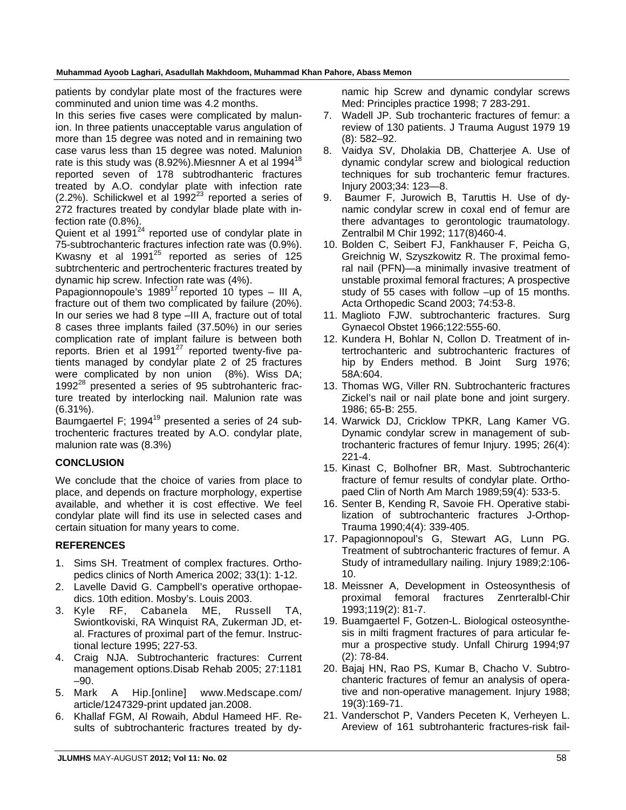patients by condylar plate most of the fractures were comminuted and union time was 4.2 months.

In this series five cases were complicated by malunion. In three patients unacceptable varus angulation of more than 15 degree was noted and in remaining two case varus less than 15 degree was noted. Malunion rate is this study was  $(8.92\%)$ . Miesnner A et al 1994<sup>18</sup> reported seven of 178 subtrodhanteric fractures treated by A.O. condylar plate with infection rate (2.2%). Schilickwel et al  $1992^{23}$  reported a series of 272 fractures treated by condylar blade plate with infection rate (0.8%).

Quient et al 1991<sup>24</sup> reported use of condylar plate in 75-subtrochanteric fractures infection rate was (0.9%). Kwasny et al  $1991^{25}$  reported as series of 125 subtrchenteric and pertrochenteric fractures treated by dynamic hip screw. Infection rate was (4%).

Papagionnopoule's  $1989^{17}$  reported 10 types – III A, fracture out of them two complicated by failure (20%). In our series we had 8 type –III A, fracture out of total 8 cases three implants failed (37.50%) in our series complication rate of implant failure is between both reports. Brien et al  $1991^{27}$  reported twenty-five patients managed by condylar plate 2 of 25 fractures were complicated by non union (8%). Wiss DA;  $1992^{28}$  presented a series of 95 subtrohanteric fracture treated by interlocking nail. Malunion rate was (6.31%).

Baumgaertel F; 1994 $19$  presented a series of 24 subtrochenteric fractures treated by A.O. condylar plate, malunion rate was (8.3%)

# **CONCLUSION**

We conclude that the choice of varies from place to place, and depends on fracture morphology, expertise available, and whether it is cost effective. We feel condylar plate will find its use in selected cases and certain situation for many years to come.

# **REFERENCES**

- 1. Sims SH. Treatment of complex fractures. Orthopedics clinics of North America 2002; 33(1): 1-12.
- 2. Lavelle David G. Campbell's operative orthopaedics. 10th edition. Mosby's. Louis 2003.
- 3. Kyle RF, Cabanela ME, Russell TA, Swiontkoviski, RA Winquist RA, Zukerman JD, etal. Fractures of proximal part of the femur. Instructional lecture 1995; 227-53.
- 4. Craig NJA. Subtrochanteric fractures: Current management options.Disab Rehab 2005; 27:1181 –90.
- 5. Mark A Hip.[online] www.Medscape.com/ article/1247329-print updated jan.2008.
- 6. Khallaf FGM, Al Rowaih, Abdul Hameed HF. Results of subtrochanteric fractures treated by dy-

namic hip Screw and dynamic condylar screws Med: Principles practice 1998; 7 283-291.

- 7. Wadell JP. Sub trochanteric fractures of femur: a review of 130 patients. J Trauma August 1979 19 (8): 582–92.
- 8. Vaidya SV, Dholakia DB, Chatterjee A. Use of dynamic condylar screw and biological reduction techniques for sub trochanteric femur fractures. Injury 2003;34: 123—8.
- 9. Baumer F, Jurowich B, Taruttis H. Use of dynamic condylar screw in coxal end of femur are there advantages to gerontologic traumatology. Zentralbil M Chir 1992; 117(8)460-4.
- 10. Bolden C, Seibert FJ, Fankhauser F, Peicha G, Greichnig W, Szyszkowitz R. The proximal femoral nail (PFN)—a minimally invasive treatment of unstable proximal femoral fractures; A prospective study of 55 cases with follow –up of 15 months. Acta Orthopedic Scand 2003; 74:53-8.
- 11. Maglioto FJW. subtrochanteric fractures. Surg Gynaecol Obstet 1966;122:555-60.
- 12. Kundera H, Bohlar N, Collon D. Treatment of intertrochanteric and subtrochanteric fractures of hip by Enders method. B Joint Surg 1976; 58A:604.
- 13. Thomas WG, Viller RN. Subtrochanteric fractures Zickel's nail or nail plate bone and joint surgery. 1986; 65-B: 255.
- 14. Warwick DJ, Cricklow TPKR, Lang Kamer VG. Dynamic condylar screw in management of subtrochanteric fractures of femur Injury. 1995; 26(4): 221-4.
- 15. Kinast C, Bolhofner BR, Mast. Subtrochanteric fracture of femur results of condylar plate. Orthopaed Clin of North Am March 1989;59(4): 533-5.
- 16. Senter B, Kending R, Savoie FH. Operative stabilization of subtrochanteric fractures J-Orthop-Trauma 1990;4(4): 339-405.
- 17. Papagionnopoul's G, Stewart AG, Lunn PG. Treatment of subtrochanteric fractures of femur. A Study of intramedullary nailing. Injury 1989;2:106- 10.
- 18. Meissner A, Development in Osteosynthesis of proximal femoral fractures Zenrteralbl-Chir 1993;119(2): 81-7.
- 19. Buamgaertel F, Gotzen-L. Biological osteosynthesis in milti fragment fractures of para articular femur a prospective study. Unfall Chirurg 1994;97 (2): 78-84.
- 20. Bajaj HN, Rao PS, Kumar B, Chacho V. Subtrochanteric fractures of femur an analysis of operative and non-operative management. Injury 1988; 19(3):169-71.
- 21. Vanderschot P, Vanders Peceten K, Verheyen L. Areview of 161 subtrohanteric fractures-risk fail-